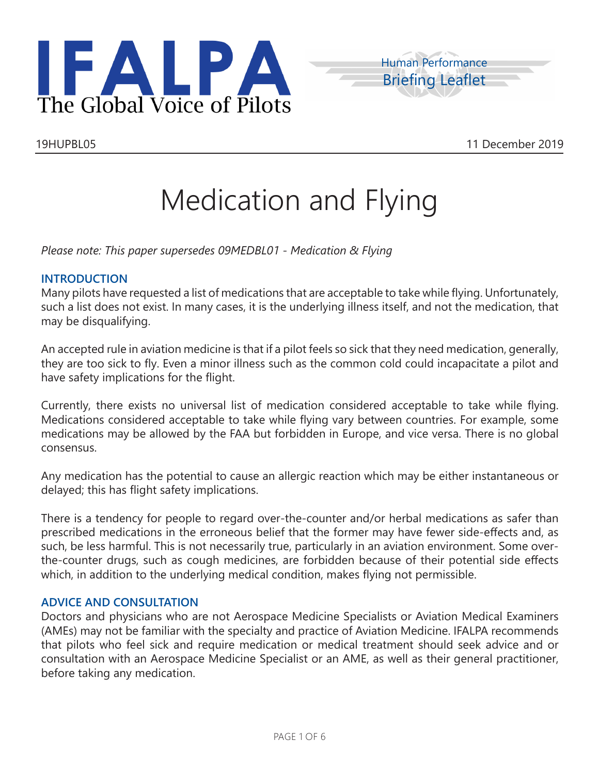



19HUPBL05 11 December 2019

# Medication and Flying

*Please note: This paper supersedes 09MEDBL01 - Medication & Flying*

# **INTRODUCTION**

Many pilots have requested a list of medications that are acceptable to take while flying. Unfortunately, such a list does not exist. In many cases, it is the underlying illness itself, and not the medication, that may be disqualifying.

An accepted rule in aviation medicine is that if a pilot feels so sick that they need medication, generally, they are too sick to fly. Even a minor illness such as the common cold could incapacitate a pilot and have safety implications for the flight.

Currently, there exists no universal list of medication considered acceptable to take while flying. Medications considered acceptable to take while flying vary between countries. For example, some medications may be allowed by the FAA but forbidden in Europe, and vice versa. There is no global consensus.

Any medication has the potential to cause an allergic reaction which may be either instantaneous or delayed; this has flight safety implications.

There is a tendency for people to regard over-the-counter and/or herbal medications as safer than prescribed medications in the erroneous belief that the former may have fewer side-effects and, as such, be less harmful. This is not necessarily true, particularly in an aviation environment. Some overthe-counter drugs, such as cough medicines, are forbidden because of their potential side effects which, in addition to the underlying medical condition, makes flying not permissible.

# **ADVICE AND CONSULTATION**

Doctors and physicians who are not Aerospace Medicine Specialists or Aviation Medical Examiners (AMEs) may not be familiar with the specialty and practice of Aviation Medicine. IFALPA recommends that pilots who feel sick and require medication or medical treatment should seek advice and or consultation with an Aerospace Medicine Specialist or an AME, as well as their general practitioner, before taking any medication.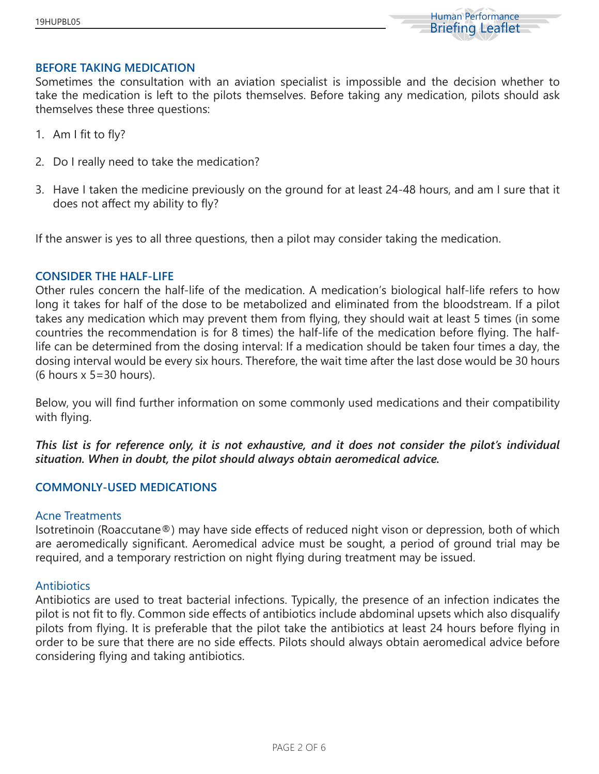

#### **BEFORE TAKING MEDICATION**

Sometimes the consultation with an aviation specialist is impossible and the decision whether to take the medication is left to the pilots themselves. Before taking any medication, pilots should ask themselves these three questions:

- 1. Am I fit to fly?
- 2. Do I really need to take the medication?
- 3. Have I taken the medicine previously on the ground for at least 24-48 hours, and am I sure that it does not affect my ability to fly?

If the answer is yes to all three questions, then a pilot may consider taking the medication.

### **CONSIDER THE HALF-LIFE**

Other rules concern the half-life of the medication. A medication's biological half-life refers to how long it takes for half of the dose to be metabolized and eliminated from the bloodstream. If a pilot takes any medication which may prevent them from flying, they should wait at least 5 times (in some countries the recommendation is for 8 times) the half-life of the medication before flying. The halflife can be determined from the dosing interval: If a medication should be taken four times a day, the dosing interval would be every six hours. Therefore, the wait time after the last dose would be 30 hours (6 hours x 5=30 hours).

Below, you will find further information on some commonly used medications and their compatibility with flying.

*This list is for reference only, it is not exhaustive, and it does not consider the pilot's individual situation. When in doubt, the pilot should always obtain aeromedical advice.*

## **COMMONLY-USED MEDICATIONS**

### Acne Treatments

Isotretinoin (Roaccutane®) may have side effects of reduced night vison or depression, both of which are aeromedically significant. Aeromedical advice must be sought, a period of ground trial may be required, and a temporary restriction on night flying during treatment may be issued.

#### **Antibiotics**

Antibiotics are used to treat bacterial infections. Typically, the presence of an infection indicates the pilot is not fit to fly. Common side effects of antibiotics include abdominal upsets which also disqualify pilots from flying. It is preferable that the pilot take the antibiotics at least 24 hours before flying in order to be sure that there are no side effects. Pilots should always obtain aeromedical advice before considering flying and taking antibiotics.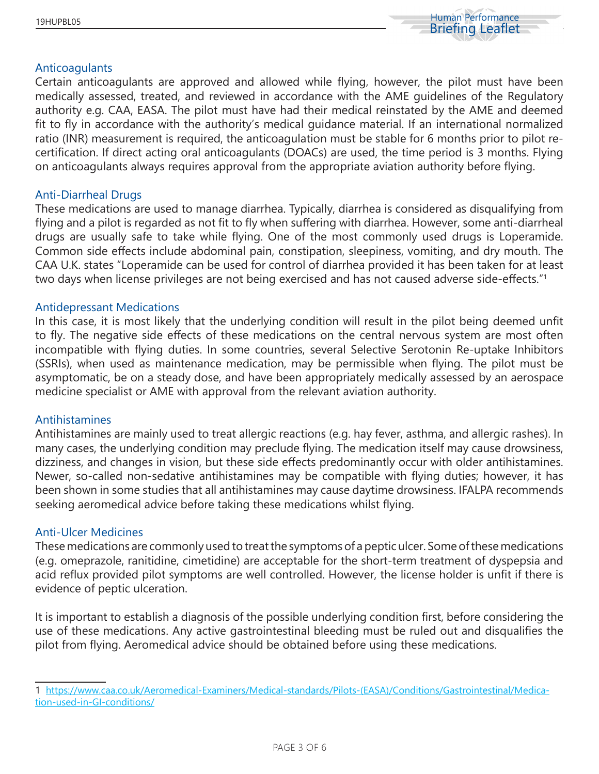

## Anticoagulants

Certain anticoagulants are approved and allowed while flying, however, the pilot must have been medically assessed, treated, and reviewed in accordance with the AME guidelines of the Regulatory authority e.g. CAA, EASA. The pilot must have had their medical reinstated by the AME and deemed fit to fly in accordance with the authority's medical guidance material. If an international normalized ratio (INR) measurement is required, the anticoagulation must be stable for 6 months prior to pilot recertification. If direct acting oral anticoagulants (DOACs) are used, the time period is 3 months. Flying on anticoagulants always requires approval from the appropriate aviation authority before flying.

#### Anti-Diarrheal Drugs

These medications are used to manage diarrhea. Typically, diarrhea is considered as disqualifying from flying and a pilot is regarded as not fit to fly when suffering with diarrhea. However, some anti-diarrheal drugs are usually safe to take while flying. One of the most commonly used drugs is Loperamide. Common side effects include abdominal pain, constipation, sleepiness, vomiting, and dry mouth. The CAA U.K. states "Loperamide can be used for control of diarrhea provided it has been taken for at least two days when license privileges are not being exercised and has not caused adverse side-effects."<sup>1</sup>

### Antidepressant Medications

In this case, it is most likely that the underlying condition will result in the pilot being deemed unfit to fly. The negative side effects of these medications on the central nervous system are most often incompatible with flying duties. In some countries, several Selective Serotonin Re-uptake Inhibitors (SSRIs), when used as maintenance medication, may be permissible when flying. The pilot must be asymptomatic, be on a steady dose, and have been appropriately medically assessed by an aerospace medicine specialist or AME with approval from the relevant aviation authority.

## Antihistamines

Antihistamines are mainly used to treat allergic reactions (e.g. hay fever, asthma, and allergic rashes). In many cases, the underlying condition may preclude flying. The medication itself may cause drowsiness, dizziness, and changes in vision, but these side effects predominantly occur with older antihistamines. Newer, so-called non-sedative antihistamines may be compatible with flying duties; however, it has been shown in some studies that all antihistamines may cause daytime drowsiness. IFALPA recommends seeking aeromedical advice before taking these medications whilst flying.

#### Anti-Ulcer Medicines

These medications are commonly used to treat the symptoms of a peptic ulcer. Some of these medications (e.g. omeprazole, ranitidine, cimetidine) are acceptable for the short-term treatment of dyspepsia and acid reflux provided pilot symptoms are well controlled. However, the license holder is unfit if there is evidence of peptic ulceration.

It is important to establish a diagnosis of the possible underlying condition first, before considering the use of these medications. Any active gastrointestinal bleeding must be ruled out and disqualifies the pilot from flying. Aeromedical advice should be obtained before using these medications.

<sup>1</sup> https://www.caa.co.uk/Aeromedical-Examiners/Medical-standards/Pilots-(EASA)/Conditions/Gastrointestinal/Medication-used-in-GI-conditions/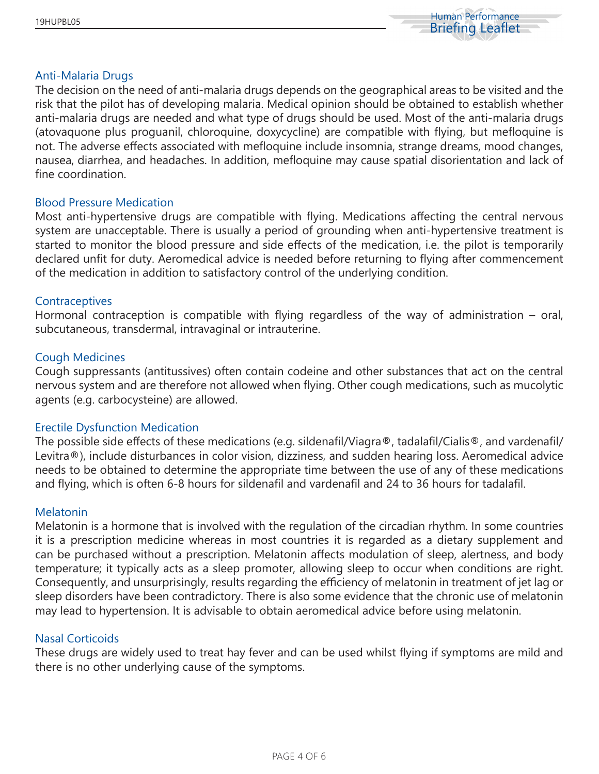

#### Anti-Malaria Drugs

The decision on the need of anti-malaria drugs depends on the geographical areas to be visited and the risk that the pilot has of developing malaria. Medical opinion should be obtained to establish whether anti-malaria drugs are needed and what type of drugs should be used. Most of the anti-malaria drugs (atovaquone plus proguanil, chloroquine, doxycycline) are compatible with flying, but mefloquine is not. The adverse effects associated with mefloquine include insomnia, strange dreams, mood changes, nausea, diarrhea, and headaches. In addition, mefloquine may cause spatial disorientation and lack of fine coordination.

### Blood Pressure Medication

Most anti-hypertensive drugs are compatible with flying. Medications affecting the central nervous system are unacceptable. There is usually a period of grounding when anti-hypertensive treatment is started to monitor the blood pressure and side effects of the medication, i.e. the pilot is temporarily declared unfit for duty. Aeromedical advice is needed before returning to flying after commencement of the medication in addition to satisfactory control of the underlying condition.

### **Contraceptives**

Hormonal contraception is compatible with flying regardless of the way of administration – oral, subcutaneous, transdermal, intravaginal or intrauterine.

### Cough Medicines

Cough suppressants (antitussives) often contain codeine and other substances that act on the central nervous system and are therefore not allowed when flying. Other cough medications, such as mucolytic agents (e.g. carbocysteine) are allowed.

## Erectile Dysfunction Medication

The possible side effects of these medications (e.g. sildenafil/Viagra®, tadalafil/Cialis®, and vardenafil/ Levitra®), include disturbances in color vision, dizziness, and sudden hearing loss. Aeromedical advice needs to be obtained to determine the appropriate time between the use of any of these medications and flying, which is often 6-8 hours for sildenafil and vardenafil and 24 to 36 hours for tadalafil.

#### **Melatonin**

Melatonin is a hormone that is involved with the regulation of the circadian rhythm. In some countries it is a prescription medicine whereas in most countries it is regarded as a dietary supplement and can be purchased without a prescription. Melatonin affects modulation of sleep, alertness, and body temperature; it typically acts as a sleep promoter, allowing sleep to occur when conditions are right. Consequently, and unsurprisingly, results regarding the efficiency of melatonin in treatment of jet lag or sleep disorders have been contradictory. There is also some evidence that the chronic use of melatonin may lead to hypertension. It is advisable to obtain aeromedical advice before using melatonin.

#### Nasal Corticoids

These drugs are widely used to treat hay fever and can be used whilst flying if symptoms are mild and there is no other underlying cause of the symptoms.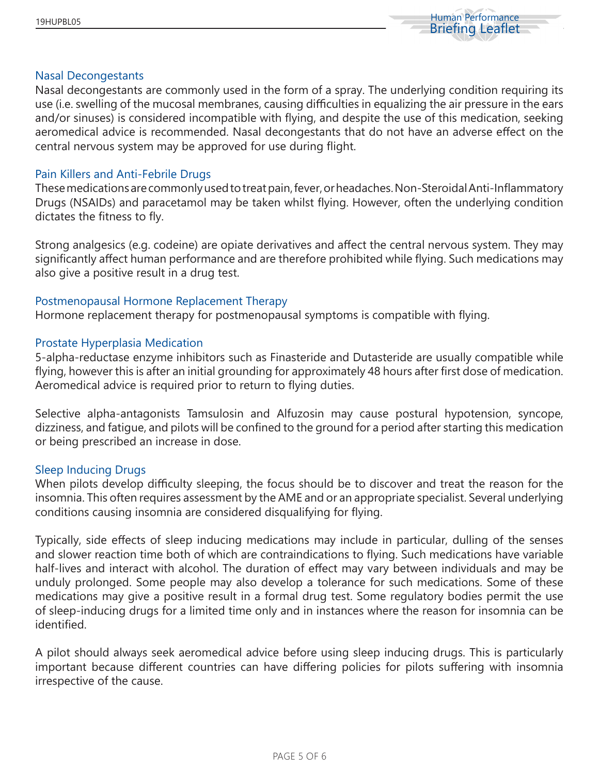

#### Nasal Decongestants

Nasal decongestants are commonly used in the form of a spray. The underlying condition requiring its use (i.e. swelling of the mucosal membranes, causing difficulties in equalizing the air pressure in the ears and/or sinuses) is considered incompatible with flying, and despite the use of this medication, seeking aeromedical advice is recommended. Nasal decongestants that do not have an adverse effect on the central nervous system may be approved for use during flight.

## Pain Killers and Anti-Febrile Drugs

These medications are commonly used to treat pain, fever, or headaches. Non-Steroidal Anti-Inflammatory Drugs (NSAIDs) and paracetamol may be taken whilst flying. However, often the underlying condition dictates the fitness to fly.

Strong analgesics (e.g. codeine) are opiate derivatives and affect the central nervous system. They may significantly affect human performance and are therefore prohibited while flying. Such medications may also give a positive result in a drug test.

## Postmenopausal Hormone Replacement Therapy

Hormone replacement therapy for postmenopausal symptoms is compatible with flying.

### Prostate Hyperplasia Medication

5-alpha-reductase enzyme inhibitors such as Finasteride and Dutasteride are usually compatible while flying, however this is after an initial grounding for approximately 48 hours after first dose of medication. Aeromedical advice is required prior to return to flying duties.

Selective alpha-antagonists Tamsulosin and Alfuzosin may cause postural hypotension, syncope, dizziness, and fatigue, and pilots will be confined to the ground for a period after starting this medication or being prescribed an increase in dose.

#### Sleep Inducing Drugs

When pilots develop difficulty sleeping, the focus should be to discover and treat the reason for the insomnia. This often requires assessment by the AME and or an appropriate specialist. Several underlying conditions causing insomnia are considered disqualifying for flying.

Typically, side effects of sleep inducing medications may include in particular, dulling of the senses and slower reaction time both of which are contraindications to flying. Such medications have variable half-lives and interact with alcohol. The duration of effect may vary between individuals and may be unduly prolonged. Some people may also develop a tolerance for such medications. Some of these medications may give a positive result in a formal drug test. Some regulatory bodies permit the use of sleep-inducing drugs for a limited time only and in instances where the reason for insomnia can be identified.

A pilot should always seek aeromedical advice before using sleep inducing drugs. This is particularly important because different countries can have differing policies for pilots suffering with insomnia irrespective of the cause.